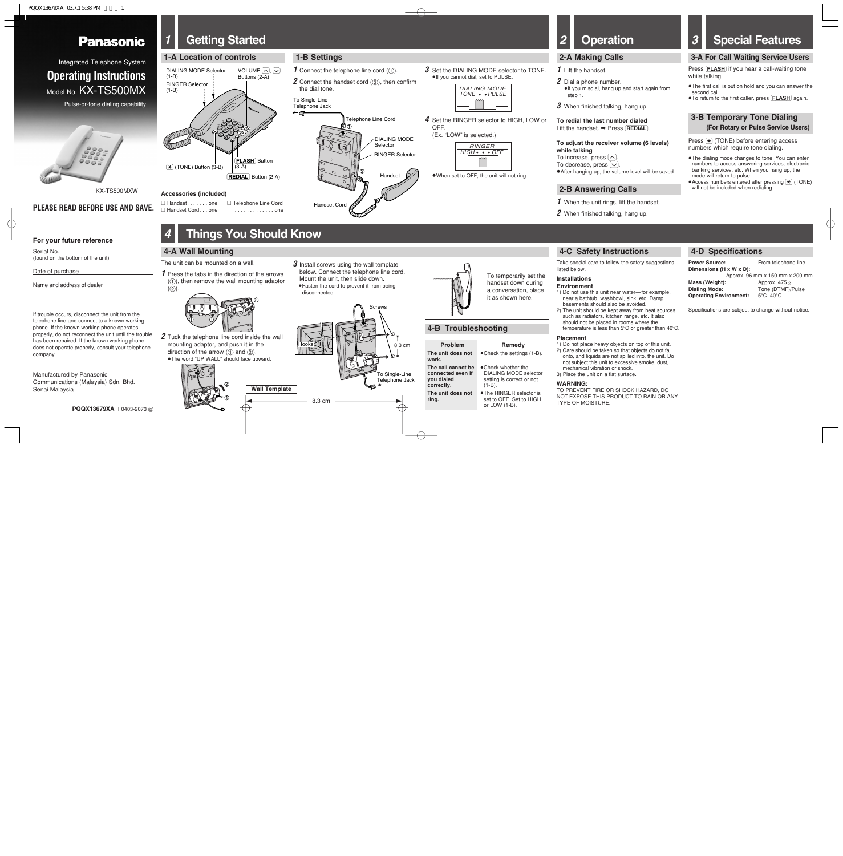$PQQX13679XA$   $03.7.1538$  PM

# **Panasonic**

# *1* **Getting Started**

# *4* **Things You Should Know**

**1-B Settings**

# **4-A Wall Mounting**

# **4-B Troubleshooting**



 $TONE + *PULSE*$ DIALING MODE

 $HIGH \cdot \cdot \cdot OFF$ RINGER

●When set to OFF, the unit will not ring.

the dial tone. To Single-Line Telephone Jack

←∉

**1** Connect the telephone line cord (1).

**2** Connect the handset cord (2), then confirm

Handset Cord

#### **To redial the last number dialed** Lift the handset. ➡ Press (REDIAL).

Handset

Telephone Line Cord

RINGER Selector

DIALING MODE Selector

1

2

*1* When the unit rings, lift the handset.

*2* When finished talking, hang up.

<sup>≥</sup>If you cannot dial, set to PULSE.

*4* Set the RINGER selector to HIGH, LOW or

**3** Set the DIALING MODE selector to TONE.

Press  $(\frac{\pi}{\pi})$  (TONE) before entering access numbers which require tone dialing.

- ●The dialing mode changes to tone. You can enter numbers to access answering services, electronic banking services, etc. When you hang up, the mode will return to pulse.
- <sup>≥</sup>Access numbers entered after pressing (\$) (TONE) will not be included when redialing.

OFF.

(Ex. "LOW" is selected.)

# **2-A Making Calls**

### **1** Lift the handset.

# **2-B Answering Calls**

*2* Dial a phone number. <sup>≥</sup>If you misdial, hang up and start again from

step 1.

*1* Press the tabs in the direction of the arrows  $(1)$ , then remove the wall mounting adaptor  $(Q)$ 

*3* When finished talking, hang up.

#### **To adjust the receiver volume (6 levels)**

To increase, press  $\left(\bigwedge\right)$ . To decrease, press  $\sim$ . ● After hanging up, the volume level will be saved.

**while talking**

# *2* **Operation**

# *3* **Special Features**

1) Do not use this unit near water—for example, near a bathtub, washbowl, sink, etc. Damp basements should also be avoided. 2) The unit should be kept away from heat sources such as radiators, kitchen range, etc. It also should not be placed in rooms where the temperature is less than  $5^{\circ}$ C or greater than  $40^{\circ}$ C.

# **3-A For Call Waiting Service Users**

Press (FLASH) if you hear a call-waiting tone while talking.

- <sup>≥</sup>The first call is put on hold and you can answer the second call.
- <sup>≥</sup>To return to the first caller, press (FLASH) again.

# **3-B Temporary Tone Dialing (For Rotary or Pulse Service Users)**

Serial No. (found on the bottom of the unit)

Integrated Telephone System **Operating Instructions** Model No. **KX-TS500MX** 

- To temporarily set the handset down during a conversation, place it as shown here.
	-

The unit can be mounted on a wall.

*2* Tuck the telephone line cord inside the wall mounting adaptor, and push it in the direction of the arrow ( $\textcircled{\scriptsize{1}}$  and  $\textcircled{\scriptsize{2}}$ ).

Approx. 96 mm x 150 mm x 200 mm Tone (DTMF)/Pulse<br>5°C-40°C





| Problem                                                             | Remedv                                                                              |
|---------------------------------------------------------------------|-------------------------------------------------------------------------------------|
| The unit does not<br>work.                                          | $\bullet$ Check the settings (1-B).                                                 |
| The call cannot be<br>connected even if<br>you dialed<br>correctly. | • Check whether the<br>DIALING MODE selector<br>setting is correct or not<br>(1-B). |
| The unit does not<br>ring.                                          | •The RINGER selector is<br>set to OFF. Set to HIGH<br>or LOW (1-B).                 |

Take special care to follow the safety suggestions



#### **Placement**

1) Do not place heavy objects on top of this unit. 2) Care should be taken so that objects do not fall onto, and liquids are not spilled into, the unit. Do not subject this unit to excessive smoke, dust,

- -
	- mechanical vibration or shock. 3) Place the unit on a flat surface.

#### **WARNING:**

TO PREVENT FIRE OR SHOCK HAZARD, DO NOT EXPOSE THIS PRODUCT TO RAIN OR ANY TYPE OF MOISTURE.

**PQQX13679XA** F0403-2073 D

Manufactured by Panasonic Communications (Malaysia) Sdn. Bhd. Senai Malaysia



If trouble occurs, disconnect the unit from the telephone line and connect to a known working phone. If the known working phone operates properly, do not reconnect the unit until the trouble has been repaired. If the known working phone does not operate properly, consult your telephone company.

### **For your future reference**

Date of purchase

 $\bigoplus$ 

Name and address of dealer

Pulse-or-tone dialing capability



## **PLEASE READ BEFORE USE AND SAVE.**

∑ Handset. . . . . . . one ∑ Handset Cord. . . one ∑ Telephone Line Cord . . . . . . . . . . . . . one

#### **Accessories (included)**

# **4-C Safety Instructions**





KX-TS500MXW

# **4-D Specifications**

**Power Source:** From telephone line **Dimensions (H x W x D): Mass (Weight):** Approx. 475 g<br> **Dialing Mode:** Tone (DTMF)/ **Operating Environment:** 

Specifications are subject to change without notice.